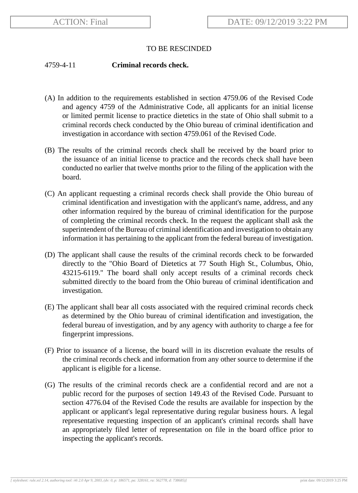## TO BE RESCINDED

## 4759-4-11 **Criminal records check.**

- (A) In addition to the requirements established in section 4759.06 of the Revised Code and agency 4759 of the Administrative Code, all applicants for an initial license or limited permit license to practice dietetics in the state of Ohio shall submit to a criminal records check conducted by the Ohio bureau of criminal identification and investigation in accordance with section 4759.061 of the Revised Code.
- (B) The results of the criminal records check shall be received by the board prior to the issuance of an initial license to practice and the records check shall have been conducted no earlier that twelve months prior to the filing of the application with the board.
- (C) An applicant requesting a criminal records check shall provide the Ohio bureau of criminal identification and investigation with the applicant's name, address, and any other information required by the bureau of criminal identification for the purpose of completing the criminal records check. In the request the applicant shall ask the superintendent of the Bureau of criminal identification and investigation to obtain any information it has pertaining to the applicant from the federal bureau of investigation.
- (D) The applicant shall cause the results of the criminal records check to be forwarded directly to the "Ohio Board of Dietetics at 77 South High St., Columbus, Ohio, 43215-6119." The board shall only accept results of a criminal records check submitted directly to the board from the Ohio bureau of criminal identification and investigation.
- (E) The applicant shall bear all costs associated with the required criminal records check as determined by the Ohio bureau of criminal identification and investigation, the federal bureau of investigation, and by any agency with authority to charge a fee for fingerprint impressions.
- (F) Prior to issuance of a license, the board will in its discretion evaluate the results of the criminal records check and information from any other source to determine if the applicant is eligible for a license.
- (G) The results of the criminal records check are a confidential record and are not a public record for the purposes of section 149.43 of the Revised Code. Pursuant to section 4776.04 of the Revised Code the results are available for inspection by the applicant or applicant's legal representative during regular business hours. A legal representative requesting inspection of an applicant's criminal records shall have an appropriately filed letter of representation on file in the board office prior to inspecting the applicant's records.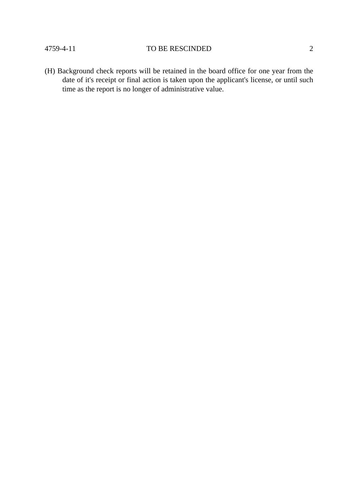## 4759-4-11 TO BE RESCINDED 2

(H) Background check reports will be retained in the board office for one year from the date of it's receipt or final action is taken upon the applicant's license, or until such time as the report is no longer of administrative value.